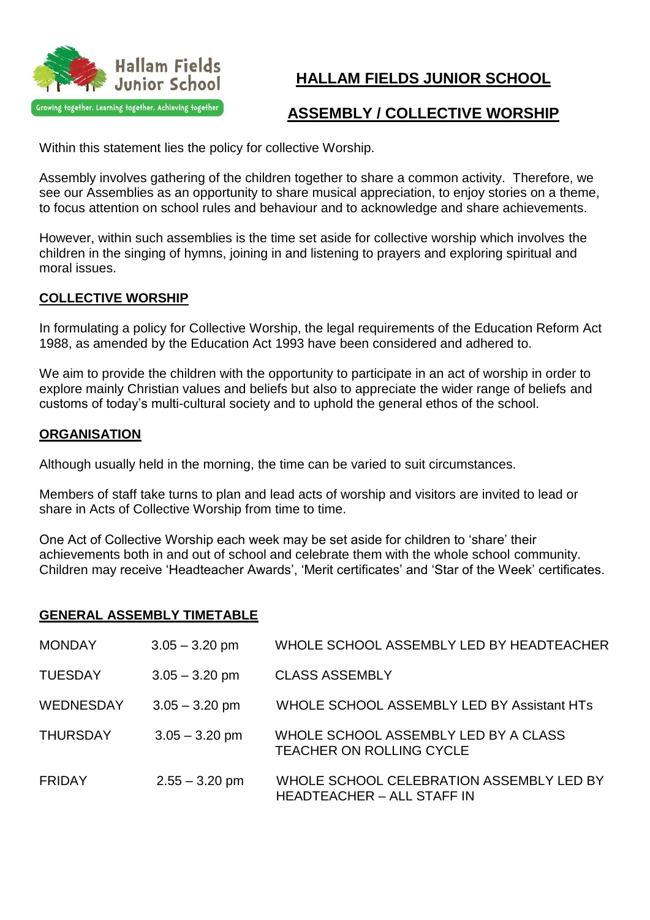

# **HALLAM FIELDS JUNIOR SCHOOL**

## **ASSEMBLY / COLLECTIVE WORSHIP**

Within this statement lies the policy for collective Worship.

Assembly involves gathering of the children together to share a common activity. Therefore, we see our Assemblies as an opportunity to share musical appreciation, to enjoy stories on a theme, to focus attention on school rules and behaviour and to acknowledge and share achievements.

However, within such assemblies is the time set aside for collective worship which involves the children in the singing of hymns, joining in and listening to prayers and exploring spiritual and moral issues.

### **COLLECTIVE WORSHIP**

In formulating a policy for Collective Worship, the legal requirements of the Education Reform Act 1988, as amended by the Education Act 1993 have been considered and adhered to.

We aim to provide the children with the opportunity to participate in an act of worship in order to explore mainly Christian values and beliefs but also to appreciate the wider range of beliefs and customs of today's multi-cultural society and to uphold the general ethos of the school.

#### **ORGANISATION**

Although usually held in the morning, the time can be varied to suit circumstances.

Members of staff take turns to plan and lead acts of worship and visitors are invited to lead or share in Acts of Collective Worship from time to time.

One Act of Collective Worship each week may be set aside for children to 'share' their achievements both in and out of school and celebrate them with the whole school community. Children may receive 'Headteacher Awards', 'Merit certificates' and 'Star of the Week' certificates.

#### **GENERAL ASSEMBLY TIMETABLE**

| <b>MONDAY</b>    | $3.05 - 3.20$ pm | WHOLE SCHOOL ASSEMBLY LED BY HEADTEACHER                                      |
|------------------|------------------|-------------------------------------------------------------------------------|
| <b>TUESDAY</b>   | $3.05 - 3.20$ pm | <b>CLASS ASSEMBLY</b>                                                         |
| <b>WEDNESDAY</b> | $3.05 - 3.20$ pm | WHOLE SCHOOL ASSEMBLY LED BY Assistant HTs                                    |
| <b>THURSDAY</b>  | $3.05 - 3.20$ pm | WHOLE SCHOOL ASSEMBLY LED BY A CLASS<br><b>TEACHER ON ROLLING CYCLE</b>       |
| <b>FRIDAY</b>    | $2.55 - 3.20$ pm | WHOLE SCHOOL CELEBRATION ASSEMBLY LED BY<br><b>HEADTEACHER - ALL STAFF IN</b> |